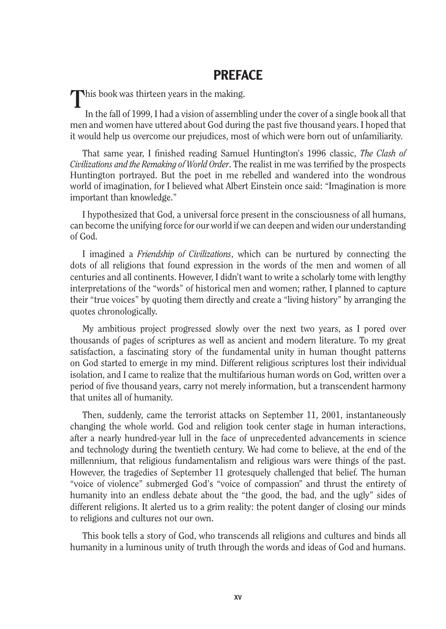## PREFACE

**T**his book was thirteen years in the making.

In the fall of 1999, I had a vision of assembling under the cover of a single book all that men and women have uttered about God during the past five thousand years. I hoped that it would help us overcome our prejudices, most of which were born out of unfamiliarity.

That same year, I finished reading Samuel Huntington's 1996 classic, *The Clash of Civilizations and the Remaking of World Order*. The realist in me was terrified by the prospects Huntington portrayed. But the poet in me rebelled and wandered into the wondrous world of imagination, for I believed what Albert Einstein once said: "Imagination is more important than knowledge."

I hypothesized that God, a universal force present in the consciousness of all humans, can become the unifying force for our world if we can deepen and widen our understanding of God.

I imagined a *Friendship of Civilizations*, which can be nurtured by connecting the dots of all religions that found expression in the words of the men and women of all centuries and all continents. However, I didn't want to write a scholarly tome with lengthy interpretations of the "words" of historical men and women; rather, I planned to capture their "true voices" by quoting them directly and create a "living history" by arranging the quotes chronologically.

My ambitious project progressed slowly over the next two years, as I pored over thousands of pages of scriptures as well as ancient and modern literature. To my great satisfaction, a fascinating story of the fundamental unity in human thought patterns on God started to emerge in my mind. Different religious scriptures lost their individual isolation, and I came to realize that the multifarious human words on God, written over a period of five thousand years, carry not merely information, but a transcendent harmony that unites all of humanity.

Then, suddenly, came the terrorist attacks on September 11, 2001, instantaneously changing the whole world. God and religion took center stage in human interactions, after a nearly hundred-year lull in the face of unprecedented advancements in science and technology during the twentieth century. We had come to believe, at the end of the millennium, that religious fundamentalism and religious wars were things of the past. However, the tragedies of September 11 grotesquely challenged that belief. The human "voice of violence" submerged God's "voice of compassion" and thrust the entirety of humanity into an endless debate about the "the good, the bad, and the ugly" sides of different religions. It alerted us to a grim reality: the potent danger of closing our minds to religions and cultures not our own.

This book tells a story of God, who transcends all religions and cultures and binds all humanity in a luminous unity of truth through the words and ideas of God and humans.